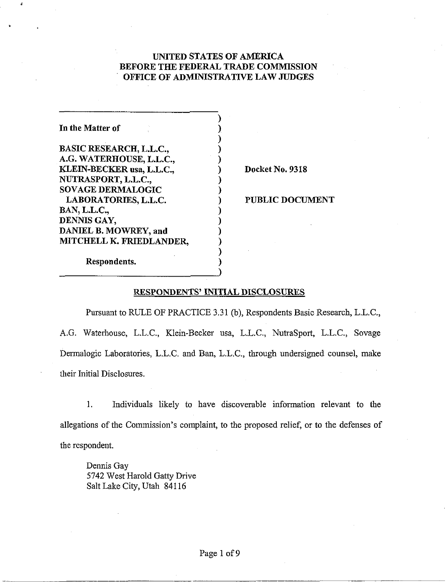## UNITED STATES OF AMERICA BEFORE THE FEDERAL TRADE COMMISSION OFFICE OF ADMINISTRATIVE LAW JUDGES

)

| In the Matter of               |  |
|--------------------------------|--|
| <b>BASIC RESEARCH, L.L.C.,</b> |  |
| A.G. WATERHOUSE, L.L.C.,       |  |
| KLEIN-BECKER usa, L.L.C.,      |  |
| NUTRASPORT, L.L.C.,            |  |
| <b>SOVAGE DERMALOGIC</b>       |  |
| LABORATORIES, L.L.C.           |  |
| <b>BAN, L.L.C.,</b>            |  |
| DENNIS GAY,                    |  |
| DANIEL B. MOWREY, and          |  |
| MITCHELL K. FRIEDLANDER,       |  |
|                                |  |

**Docket No. 9318** 

PUBLIC DOCUMENT

Respondents.

## RESPONDENTS' INITIAL DISCLOSURES

)

Pursuant to RULE OF PRACTICE 3.31 (b), Respondents Basic Research, L.L.C., A.G. Waterhouse, L.L.C., Klein-Becker usa, L.L.C., NutraSport, L.L.C., Sovage Dermalogic Laboratories, L.L.C. and Ban, L.L.C., through undersigned counsel, make their Initial Disclosures.

1. Individuals likely to have discoverable information relevant to the allegations of the Commission's complaint, to the proposed relief, or to the defenses of the respondent.

Dennis Gay 5742 West Harold Gatty Drive Salt Lake City, Utah 841 16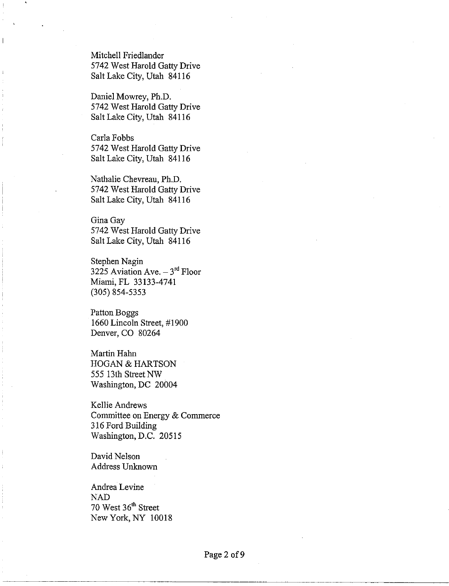Mitchell Friedlander 5742 West Harold Gatty Drive Salt Lake City, Utah 84116

Daniel Mowrey, Ph.D. 5742 West Harold Gatty Drive Salt Lake City, Utah 841 16

Carla Fobbs 5742 West Harold Gatty Drive Salt Lake City, Utah 841 16

Nathalie Chevreau, Ph.D. 5742 West Harold Gatty Drive Salt Lake City, Utah 841 16

Gina Gay 5742 West Harold Gatty Drive Salt Lake City, Utah 841 16

Stephen Nagin 3225 Aviation Ave.  $-3^{rd}$  Floor Miami, FL 33133-4741 (305) 854-5353

Patton Boggs 1660 Lincoln Street, #1900 Denver, CO 80264

Martin Hahn HOGAN & HARTSON 555 13th Street NW Washington, DC 20004

Kellie Andrews Committee on Energy & Commerce 3 16 Ford Building Washington, D.C. 20515

David Nelson Address Unknown

Andrea Levine NAD 70 West 36" Street New York. NY 10018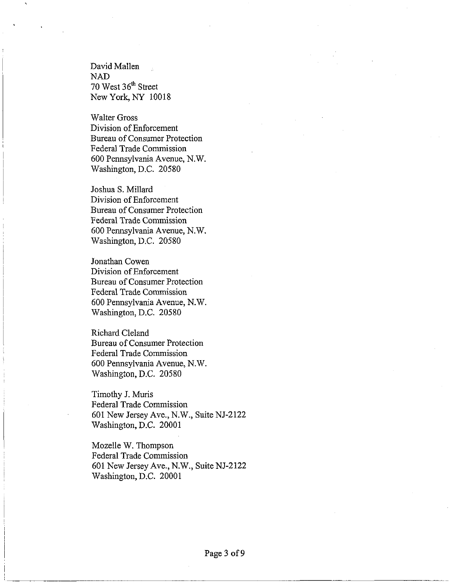David Mallen NAD 70 West 36'' Street New York, NY 10018

Walter Gross Division of Enforcement Bureau of Consumer Protection Federal Trade Commission 600 Pennsylvania Avenue, N.W. Washington, D.C. 20580

Joshua S. Millard Division of Enforcement Bureau of Consumer Protection Federal Trade Commission 600 Pennsylvania Avenue, N.W. Washington, D.C. 20580

Jonathan Cowen Division of Enforcement Bureau of Consumer Protection Federal Trade Commission 600 Pennsylvania Avenue, N.W. Washington, D.C. 20580

Richard Cleland Bureau of Consumer Protection Federal Trade Commission 600 Pennsylvania Avenue, N.W. Washington, D.C. 20580

Timothy J. Muris Federal Trade Commission 601 New Jersey Ave., N.W., Suite NJ-2122 Washington, D.C. 20001

Mozelle W. Thompson Federal Trade Commission 601 New Jersey Ave., N.W., Suite NJ-2122 Washington, D.C. 20001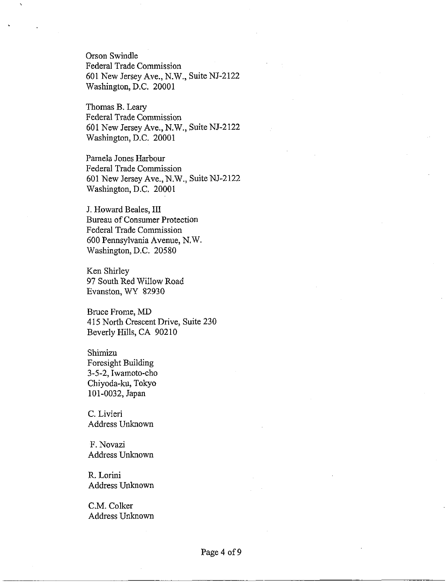Orson Swindle Federal Trade Commission 601 New Jersey Ave., N.W., Suite NJ-2122 Washington, D.C. 20001

Thomas B. Leary Federal Trade Commission 601 New Jersey Ave., N.W., Suite NJ-2122 Washington, D.C. 20001

Pamela Jones Harbour Federal Trade Conmission 601 New Jersey Ave., N.W., SuiteNJ-2122 Washington, D.C. 20001

J. Howard Beales, I11 Bureau of Consumer Protection Federal Trade Commission 600 Pennsylvania Avenue, N.W. Washington, D.C. 20580

Ken Shirley 97 South Red Willow Road Evanston, WY 82930

Bruce Frome, MD 415 North Crescent Drive, Suite 230 Beverly Hills, CA 90210

Shimizu Foresight Building 3-5-2, Iwamoto-cho Chiyoda-ku, Tokyo 101-0032, Japan

C. Livieri Address Unknown

F. Novazi Address Unknown

R. Lorini Address Unknown

C.M. Colker Address Unknown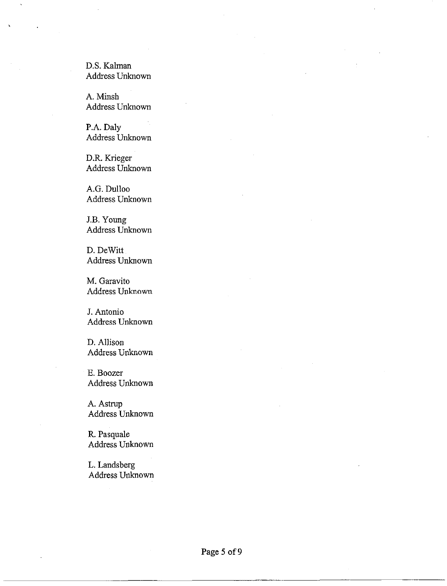D.S. Kalman Address Unknown

A. Minsh Address Unknown

P.A. Daly Address Unknown

D.R. Krieger Address Unknown

A.G. Dulloo Address Unknown

J.B. Young Address Unknown

D. DeWitt Address Unknown

M. Garavito Address Unknown

J. Antonio Address Unknown

D. Allison Address Unknown

E. Boozer Address Unknown

A. Astrup Address Unknown

R. Pasquale Address Unknown

L. Landsberg Address Unknown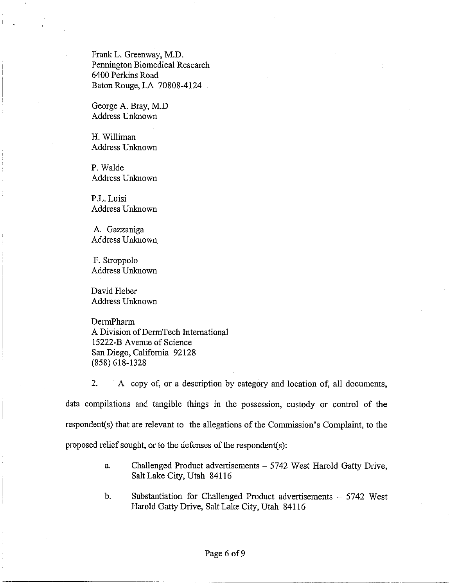Frank L. Greenway, M.D. Pennington Biomedical Research 6400 Perkins Road Baton Rouge, LA 70808-4124

George A. Bray, M.D Address Unknown

H. Williman Address Unknown

P. Walde Address Unknown

P.L. Luisi Address Unknown

A. Gazzaniga Address Unknown

F. Stroppolo Address Unknown

David Heber Address Unknown

**DermPharm** A Division of DermTech International 15222-B Avenue of Science San Diego, California 92 128 (858) 618-1328

2. A copy of, or a description by category and location of, all documents, data compilations and tangible things in the possession, custody or control of the respondent(s) that are relevant to the allegations of the Commission's Complaint, to the proposed relief sought, or to the defenses of the respondent(s):

- a. Challenged Product advertisements 5742 West Harold Gatty Drive, Salt Lake City, Utah 841 16
- b. Substantiation for Challenged Product advertisements 5742 West Harold Gatty Drive, Salt Lake City, Utah 841 16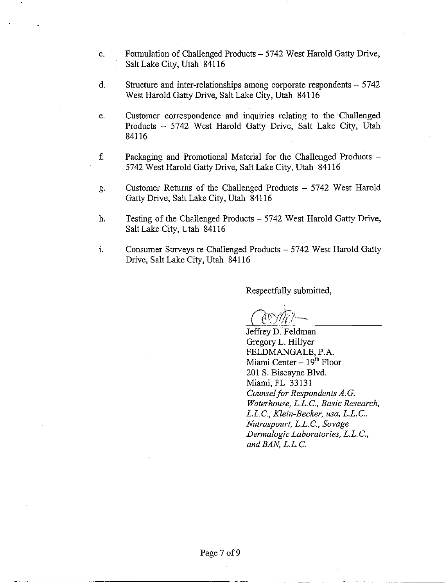- c. Formulation of Challenged Products 5742 West Harold Gatty Drive, Salt Lake City, Utah 841 16
- $d.$  Structure and inter-relationships among corporate respondents  $-5742$ West Harold Gatty Drive, Salt Lake City, Utah 841 16
- e. Customer correspondence and inquiries relating to the Challenged Products - 5742 West Harold Gatty Drive, Salt Lake City, Utah 84116
- f. Packaging and Promotional Material for the Challenged Products 5742 West Harold Gatty Drive, Salt Lake City, Utah 841 16
- g. Customer Returns of the Challenged Products -- 5742 West Harold Gatty Drive, Salt Lake City, Utah 841 16
- h. Testing of the Challenged Products 5742 West Harold Gatty Drive, Salt Lake City, Utah 84116
- $1.$  Consumer Surveys re Challenged Products  $-5742$  West Harold Gatty Drive, Salt Lake City, Utah 841 16

Respectfully submitted,

Jeffrey D. Feldman Gregory L. Hillyer FELDMANGALE, P.A. Miami Center  $-19<sup>th</sup>$  Floor 201 S. Biscayne Blvd. Miami, FL 33131 *Counsel for Respondents A.G. Waterhouse, L.L.C., Basic Research, L.L.* C., *Klein-Becker, ma, L.L. C., Nutraspourt, L.L.C., Sovage Dewnalogic Laboratories, L.L. C., and BAN, L.L. C.*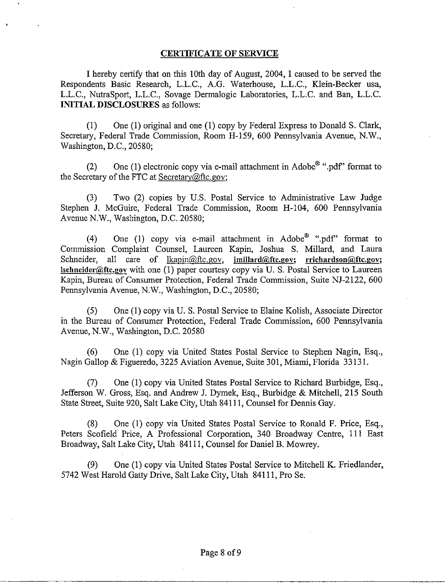## **CERTIFICATE OF SERVICE**

I hereby certify that on this 10th day of August, 2004, I caused to be served the Respondents Basic Research, L.L.C., A.G. Waterhouse, L.L.C., Klein-Becker usa, L.L.C., NutraSport, L.L.C., Sovage Dermalogic Laboratories, L.L.C. and Ban, L.L.C. **INITIAL DISCLOSURES** as follows:

(1) One (1) original and one (1) copy by Federal Express to Donald S. Clark, Secretary, Federal Trade Commission, Room H-159, 600 Pennsylvania Avenue, N.W., Washington, D.C., 20580;

(2) One (1) electronic copy via e-mail attachment in Adobe<sup>®</sup> ".pdf" format to the Secretary of the FTC at Secretary@ftc.gov;

(3) Two (2) copies by U.S. Postal Service to Administrative Law Judge Stephen J. McGuire, Federal Trade Commission, Room H-104, 600 Pennsylvania Avenue N.W., Washington, D.C. 20580;

(4) One (1) copy via e-mail attachment in Adobe<sup>®</sup> ".pdf" format to Commission Complaint Counsel, Laureen Kapin, Joshua S. Millard, and Laura Schneider, all care of lkapin@ftc.gov, **imillard@ftc.gov;** rrichardson@ftc.gov; **Isclineider@.ftc.gov** with one (1) paper courtesy copy via U. S. Postal Service to Laureen Kapin, Bureau of Consumer Protection, Federal Trade Commission, Suite NJ-2122, 600 Pennsylvania Avenue, N.W., Washington, D.C., 20580;

(5) One (1) copy via U. S. Postal Service to Elaine Kolish, Associate Director in the Bureau of Consumer Protection, Federal Trade Commission, 600 Pennsylvania Avenue, N.W., Washington, D.C. 20580

*(6)* One (1) copy via United States Postal Service to Stephen Nagin, Esq., Nagin Gallop & Figueredo, 3225 Aviation Avenue, Suite 301, Miami, Florida 33 13 1.

(7) One (1) copy via United States Postal Service to Richard Burbidge, Esq., Jefferson W. Gross, Esq. and Andrew J. Dymek, Esq., Burbidge & Mitchell, 215 South State Street, Suite 920, Salt Lake City, Utah 841 11, Counsel for Dennis Gay.

(8) One (1) copy via United States Postal Service to Ronald F. Price, Esq., Peters Scofield Price, A Professional Corporation, 340 Broadway Centre, 111 East Broadway, Salt Lake City, Utah 841 11, Counsel for Daniel B. Mowrey.

(9) One (1) copy via United States Postal Service to Mitchell K. Friedlander, 5742 West Harold Gatty Drive, Salt Lake City, Utah 841 11, Pro Se.